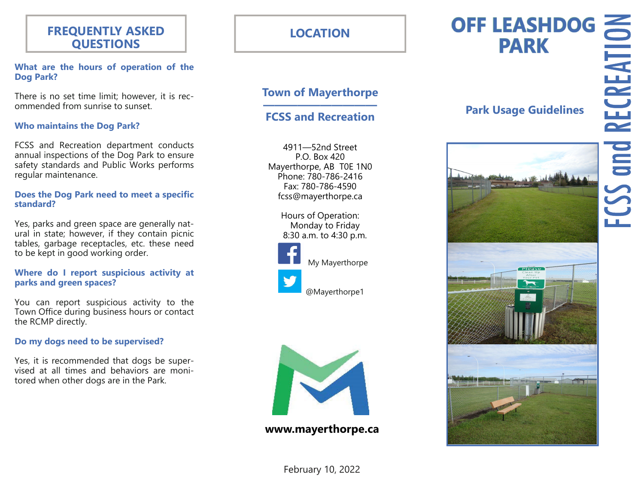### **FREQUENTLY ASKED QUESTIONS**

#### **What are the hours of operation of the Dog Park?**

There is no set time limit; however, it is recommended from sunrise to sunset.

#### **Who maintains the Dog Park?**

FCSS and Recreation department conducts annual inspections of the Dog Park to ensure safety standards and Public Works performs regular maintenance.

#### **Does the Dog Park need to meet a specific standard?**

Yes, parks and green space are generally natural in state; however, if they contain picnic tables, garbage receptacles, etc. these need to be kept in good working order.

#### **Where do I report suspicious activity at parks and green spaces?**

You can report suspicious activity to the Town Office during business hours or contact the RCMP directly.

#### **Do my dogs need to be supervised?**

Yes, it is recommended that dogs be supervised at all times and behaviors are monitored when other dogs are in the Park.

# **LOCATION**

### **Town of Mayerthorpe**

#### **—————————— FCSS and Recreation**

4911—52nd Street P.O. Box 420 Mayerthorpe, AB T0E 1N0 Phone: 780-786-2416 Fax: 780-786-4590 fcss@mayerthorpe.ca

> Hours of Operation: Monday to Friday 8:30 a.m. to 4:30 p.m.





**www.mayerthorpe.ca** 

# **OFF LEASHDOG PARK**

# **Park Usage Guidelines**



February 10, 2022